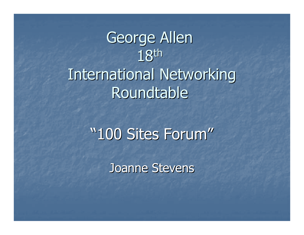# George Allen 18th International Networking Roundtable

## "100 Sites Forum"

Joanne Stevens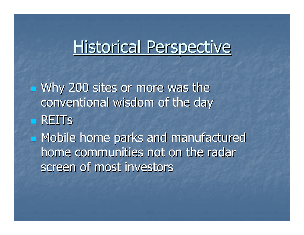## Historical Perspective

 Why 200 sites or more was the conventional wisdom of the day■ REIT<mark>s</mark>

**<u>■ Mobile home parks and manufactured</u>** home communities not on the radar screen of most investors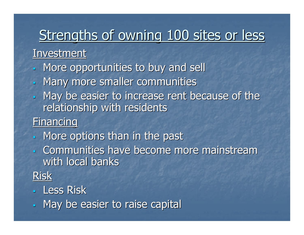## Strengths of owning 100 sites or less

#### **Investment**

- -More opportunities to buy and sell
- -Many more smaller communities
- May be easier to increase rent because of the relationship with residents

#### **Financing**

- More options than in the past -
- - Communities have become more mainstream with local banks
- Risk

#### -<mark>- Less Ris</mark>k

-May be easier to raise capital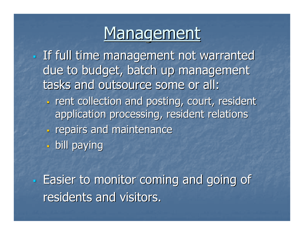## **Management**

- - If full time management not warranted due to budget, batch up management tasks and outsource some or all:
	- $\overline{\phantom{0}}$ **Figure 1 collection and posting, court, resident 1** application processing, resident relations
	- -**The property and maintenance**
	- $\overline{\phantom{0}}$ bill paying

- Easier to monitor coming and going ofresidents and visitors.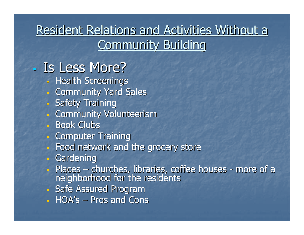#### Resident Relations and Activities Without a **Community Building**

#### -Is Less More?

- , Health Screenlho **- Health Screenings**
- -Community Yard Sales
- -Safety Training
- <u>. Community Vo</u> Community Volunteerism
- -Book Clubs
- -Computer Training
- <u>. Food network and</u> Food network and the grocery store
- -Gardening
- . Places 1 **Places** – churches, libraries, coffee houses more of a neighborhood for the residents
- -Safe Assured Program
- $\Box$  in  $\mu \rightarrow -$  pilos anti-vio HOA's– $-$  Pros and Cons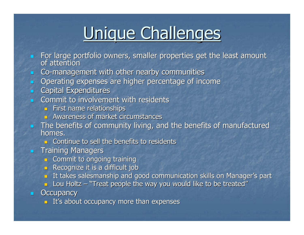# Unique Challenges

- For large portfolio owners, smaller properties get the least amount<br>of attention
- **Co-management with other nearby communities**  $\blacksquare$
- **Dearating expenses are higher percentage of income** a.
- **Expenditures**
- $\overline{\phantom{0}}$  Commit to involvement with residents
	- **First name relationships**
	- **EXECUTE: Awareness of market circumstances**
- The benefits of community living, and the benefits of manufactured homes.
	- $\Box$  Continue to sell the benefits to residents
- $\blacksquare$  Training Managers
	- **Example 2 Commit to ongoing training**
	- **Recognize it is a difficult job**
	- **I** It takes salesmanship and good communication skills on Manager's part
	- $\blacksquare$  Lou Holtz  $\mathtt{\neg}$  "Treat people the way you would like to be treated"

#### $\blacksquare$ **Occupancy**

 $\blacksquare$  It's about occupancy more than expenses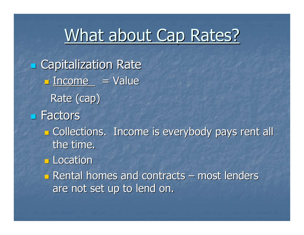## What about Cap Rates?

**E** Capitalization Rate  $\Box$ <u> Income = Value</u> Rate (cap) Factors  $\mathbb{R}^2$ **Example Collections. Income is everybody pays rent all** the time. $\mathbb{Z}$ **Location**  $\mathbb{R}^2$  $\blacksquare$  Rental homes and contracts –– most lenders are not set up to lend on.